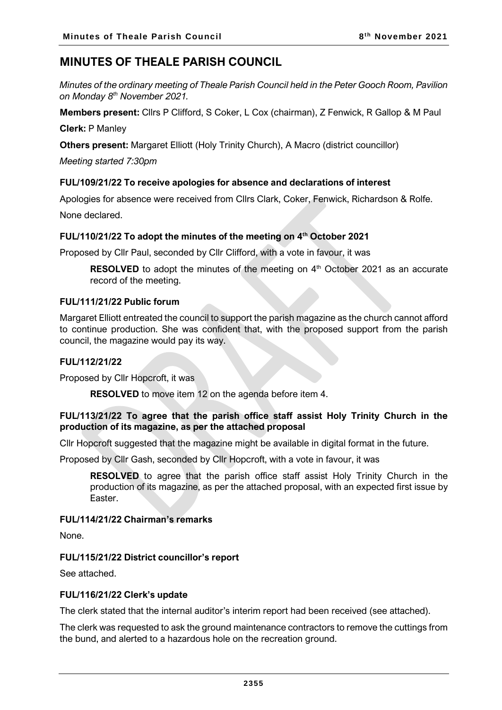# **MINUTES OF THEALE PARISH COUNCIL**

*Minutes of the ordinary meeting of Theale Parish Council held in the Peter Gooch Room, Pavilion on Monday 8 th November 2021.*

**Members present:** Cllrs P Clifford, S Coker, L Cox (chairman), Z Fenwick, R Gallop & M Paul

**Clerk:** P Manley

**Others present:** Margaret Elliott (Holy Trinity Church), A Macro (district councillor)

*Meeting started 7:30pm*

## **FUL/109/21/22 To receive apologies for absence and declarations of interest**

Apologies for absence were received from Cllrs Clark, Coker, Fenwick, Richardson & Rolfe.

None declared.

## **FUL/110/21/22 To adopt the minutes of the meeting on 4 th October 2021**

Proposed by Cllr Paul, seconded by Cllr Clifford, with a vote in favour, it was

**RESOLVED** to adopt the minutes of the meeting on 4<sup>th</sup> October 2021 as an accurate record of the meeting.

## **FUL/111/21/22 Public forum**

Margaret Elliott entreated the council to support the parish magazine as the church cannot afford to continue production. She was confident that, with the proposed support from the parish council, the magazine would pay its way.

## **FUL/112/21/22**

Proposed by Cllr Hopcroft, it was

**RESOLVED** to move item 12 on the agenda before item 4.

## **FUL/113/21/22 To agree that the parish office staff assist Holy Trinity Church in the production of its magazine, as per the attached proposal**

Cllr Hopcroft suggested that the magazine might be available in digital format in the future.

Proposed by Cllr Gash, seconded by Cllr Hopcroft, with a vote in favour, it was

**RESOLVED** to agree that the parish office staff assist Holy Trinity Church in the production of its magazine, as per the attached proposal, with an expected first issue by Easter.

## **FUL/114/21/22 Chairman's remarks**

None.

## **FUL/115/21/22 District councillor's report**

See attached.

## **FUL/116/21/22 Clerk's update**

The clerk stated that the internal auditor's interim report had been received (see attached).

The clerk was requested to ask the ground maintenance contractors to remove the cuttings from the bund, and alerted to a hazardous hole on the recreation ground.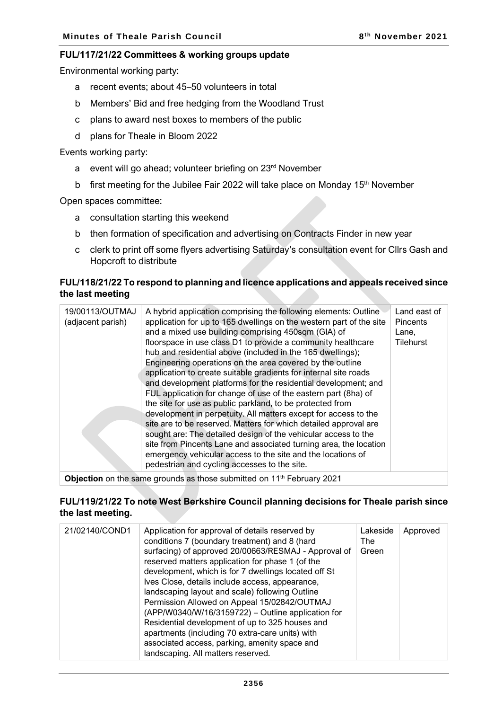#### **FUL/117/21/22 Committees & working groups update**

Environmental working party:

- a recent events; about 45–50 volunteers in total
- b Members' Bid and free hedging from the Woodland Trust
- c plans to award nest boxes to members of the public
- d plans for Theale in Bloom 2022

Events working party:

- a event will go ahead; volunteer briefing on 23<sup>rd</sup> November
- b first meeting for the Jubilee Fair 2022 will take place on Monday 15<sup>th</sup> November

Open spaces committee:

- a consultation starting this weekend
- b then formation of specification and advertising on Contracts Finder in new year
- c clerk to print off some flyers advertising Saturday's consultation event for Cllrs Gash and Hopcroft to distribute

#### **FUL/118/21/22 To respond to planning and licence applications and appeals received since the last meeting**

| 19/00113/OUTMAJ<br>(adjacent parish) | A hybrid application comprising the following elements: Outline<br>application for up to 165 dwellings on the western part of the site<br>and a mixed use building comprising 450sqm (GIA) of<br>floorspace in use class D1 to provide a community healthcare<br>hub and residential above (included in the 165 dwellings);<br>Engineering operations on the area covered by the outline<br>application to create suitable gradients for internal site roads<br>and development platforms for the residential development; and<br>FUL application for change of use of the eastern part (8ha) of<br>the site for use as public parkland, to be protected from<br>development in perpetuity. All matters except for access to the<br>site are to be reserved. Matters for which detailed approval are<br>sought are: The detailed design of the vehicular access to the<br>site from Pincents Lane and associated turning area, the location<br>emergency vehicular access to the site and the locations of<br>pedestrian and cycling accesses to the site. | Land east of<br><b>Pincents</b><br>Lane,<br><b>Tilehurst</b> |
|--------------------------------------|------------------------------------------------------------------------------------------------------------------------------------------------------------------------------------------------------------------------------------------------------------------------------------------------------------------------------------------------------------------------------------------------------------------------------------------------------------------------------------------------------------------------------------------------------------------------------------------------------------------------------------------------------------------------------------------------------------------------------------------------------------------------------------------------------------------------------------------------------------------------------------------------------------------------------------------------------------------------------------------------------------------------------------------------------------|--------------------------------------------------------------|
|                                      |                                                                                                                                                                                                                                                                                                                                                                                                                                                                                                                                                                                                                                                                                                                                                                                                                                                                                                                                                                                                                                                            |                                                              |

**Objection** on the same grounds as those submitted on 11<sup>th</sup> February 2021

#### **FUL/119/21/22 To note West Berkshire Council planning decisions for Theale parish since the last meeting.**

| 21/02140/COND1 | Application for approval of details reserved by<br>conditions 7 (boundary treatment) and 8 (hard<br>surfacing) of approved 20/00663/RESMAJ - Approval of<br>reserved matters application for phase 1 (of the<br>development, which is for 7 dwellings located off St<br>Ives Close, details include access, appearance,<br>landscaping layout and scale) following Outline<br>Permission Allowed on Appeal 15/02842/OUTMAJ<br>(APP/W0340/W/16/3159722) - Outline application for<br>Residential development of up to 325 houses and<br>apartments (including 70 extra-care units) with<br>associated access, parking, amenity space and<br>landscaping. All matters reserved. | Lakeside<br>The<br>Green | Approved |
|----------------|-------------------------------------------------------------------------------------------------------------------------------------------------------------------------------------------------------------------------------------------------------------------------------------------------------------------------------------------------------------------------------------------------------------------------------------------------------------------------------------------------------------------------------------------------------------------------------------------------------------------------------------------------------------------------------|--------------------------|----------|
|----------------|-------------------------------------------------------------------------------------------------------------------------------------------------------------------------------------------------------------------------------------------------------------------------------------------------------------------------------------------------------------------------------------------------------------------------------------------------------------------------------------------------------------------------------------------------------------------------------------------------------------------------------------------------------------------------------|--------------------------|----------|